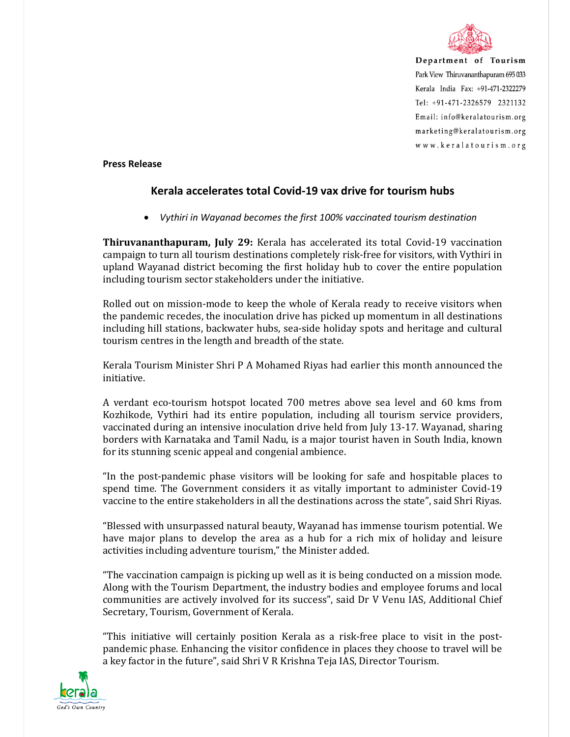

Department of Tourism Park View Thiruvananthapuram 695 033 Kerala India Fax: +91-471-2322279 Tel: +91-471-2326579 2321132 Email: info@keralatourism.org marketing@keralatourism.org www.keralatourism.org

**Press Release** 

## **Kerala accelerates total Covid-19 vax drive for tourism hubs**

*Vythiri in Wayanad becomes the first 100% vaccinated tourism destination* 

**Thiruvananthapuram, July 29:** Kerala has accelerated its total Covid-19 vaccination campaign to turn all tourism destinations completely risk-free for visitors, with Vythiri in upland Wayanad district becoming the first holiday hub to cover the entire population including tourism sector stakeholders under the initiative.

Rolled out on mission-mode to keep the whole of Kerala ready to receive visitors when the pandemic recedes, the inoculation drive has picked up momentum in all destinations including hill stations, backwater hubs, sea-side holiday spots and heritage and cultural tourism centres in the length and breadth of the state.

Kerala Tourism Minister Shri P A Mohamed Riyas had earlier this month announced the initiative.

A verdant eco-tourism hotspot located 700 metres above sea level and 60 kms from Kozhikode, Vythiri had its entire population, including all tourism service providers, vaccinated during an intensive inoculation drive held from July 13-17. Wayanad, sharing borders with Karnataka and Tamil Nadu, is a major tourist haven in South India, known for its stunning scenic appeal and congenial ambience.

"In the post-pandemic phase visitors will be looking for safe and hospitable places to spend time. The Government considers it as vitally important to administer Covid-19 vaccine to the entire stakeholders in all the destinations across the state", said Shri Riyas.

"Blessed with unsurpassed natural beauty, Wayanad has immense tourism potential. We have major plans to develop the area as a hub for a rich mix of holiday and leisure activities including adventure tourism," the Minister added.

"The vaccination campaign is picking up well as it is being conducted on a mission mode. Along with the Tourism Department, the industry bodies and employee forums and local communities are actively involved for its success", said Dr V Venu IAS, Additional Chief Secretary, Tourism, Government of Kerala.

"This initiative will certainly position Kerala as a risk-free place to visit in the postpandemic phase. Enhancing the visitor confidence in places they choose to travel will be a key factor in the future", said Shri V R Krishna Teja IAS, Director Tourism.